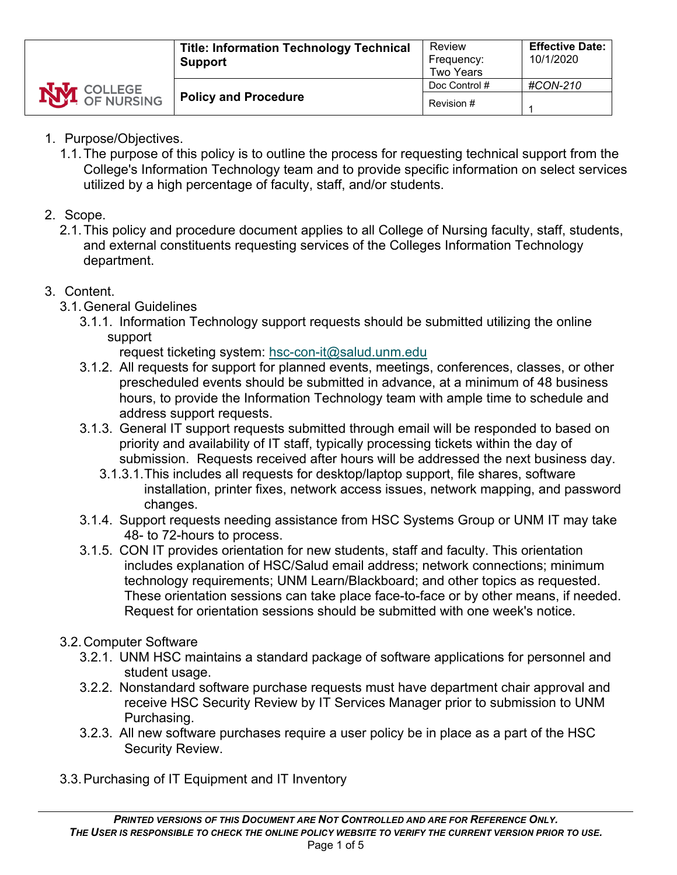- 1. Purpose/Objectives.
	- 1.1.The purpose of this policy is to outline the process for requesting technical support from the College's Information Technology team and to provide specific information on select services utilized by a high percentage of faculty, staff, and/or students.

## 2. Scope.

2.1.This policy and procedure document applies to all College of Nursing faculty, staff, students, and external constituents requesting services of the Colleges Information Technology department.

## 3. Content.

- 3.1.General Guidelines
	- 3.1.1. Information Technology support requests should be submitted utilizing the online support

request ticketing system: [hsc-con-it@salud.unm.edu](mailto:hsc-con-it@salud.unm.edu)

- 3.1.2. All requests for support for planned events, meetings, conferences, classes, or other prescheduled events should be submitted in advance, at a minimum of 48 business hours, to provide the Information Technology team with ample time to schedule and address support requests.
- 3.1.3. General IT support requests submitted through email will be responded to based on priority and availability of IT staff, typically processing tickets within the day of submission. Requests received after hours will be addressed the next business day.
	- 3.1.3.1.This includes all requests for desktop/laptop support, file shares, software installation, printer fixes, network access issues, network mapping, and password changes.
- 3.1.4. Support requests needing assistance from HSC Systems Group or UNM IT may take 48- to 72-hours to process.
- 3.1.5. CON IT provides orientation for new students, staff and faculty. This orientation includes explanation of HSC/Salud email address; network connections; minimum technology requirements; UNM Learn/Blackboard; and other topics as requested. These orientation sessions can take place face-to-face or by other means, if needed. Request for orientation sessions should be submitted with one week's notice.

## 3.2.Computer Software

- 3.2.1. UNM HSC maintains a standard package of software applications for personnel and student usage.
- 3.2.2. Nonstandard software purchase requests must have department chair approval and receive HSC Security Review by IT Services Manager prior to submission to UNM Purchasing.
- 3.2.3. All new software purchases require a user policy be in place as a part of the HSC Security Review.
- 3.3.Purchasing of IT Equipment and IT Inventory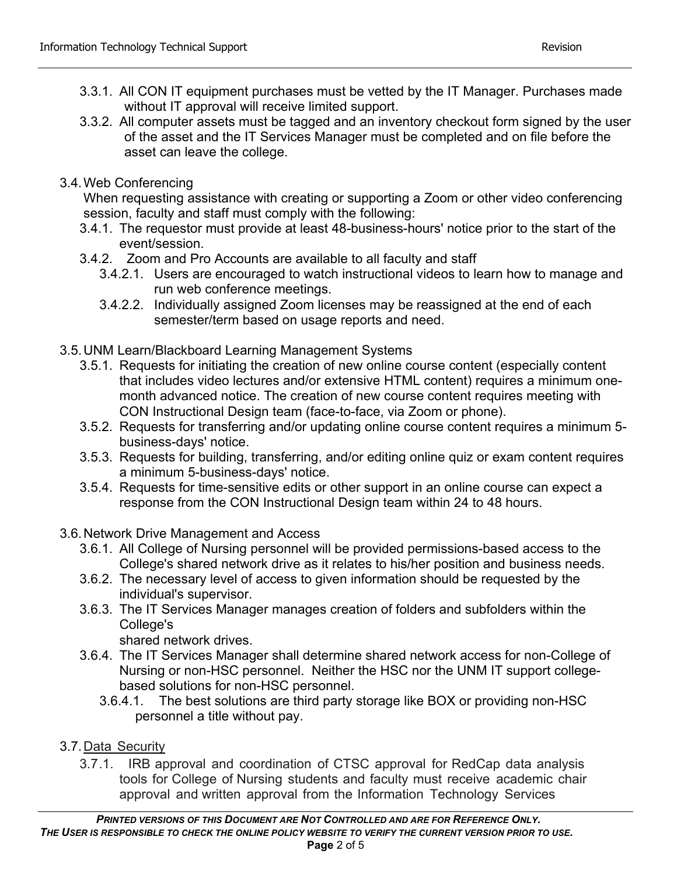- 3.3.1. All CON IT equipment purchases must be vetted by the IT Manager. Purchases made without IT approval will receive limited support.
- 3.3.2. All computer assets must be tagged and an inventory checkout form signed by the user of the asset and the IT Services Manager must be completed and on file before the asset can leave the college.
- 3.4.Web Conferencing

When requesting assistance with creating or supporting a Zoom or other video conferencing session, faculty and staff must comply with the following:

- 3.4.1. The requestor must provide at least 48-business-hours' notice prior to the start of the event/session.
- 3.4.2. Zoom and Pro Accounts are available to all faculty and staff
	- 3.4.2.1. Users are encouraged to watch instructional videos to learn how to manage and run web conference meetings.
	- 3.4.2.2. Individually assigned Zoom licenses may be reassigned at the end of each semester/term based on usage reports and need.
- 3.5.UNM Learn/Blackboard Learning Management Systems
	- 3.5.1. Requests for initiating the creation of new online course content (especially content that includes video lectures and/or extensive HTML content) requires a minimum onemonth advanced notice. The creation of new course content requires meeting with CON Instructional Design team (face-to-face, via Zoom or phone).
	- 3.5.2. Requests for transferring and/or updating online course content requires a minimum 5 business-days' notice.
	- 3.5.3. Requests for building, transferring, and/or editing online quiz or exam content requires a minimum 5-business-days' notice.
	- 3.5.4. Requests for time-sensitive edits or other support in an online course can expect a response from the CON Instructional Design team within 24 to 48 hours.
- 3.6.Network Drive Management and Access
	- 3.6.1. All College of Nursing personnel will be provided permissions-based access to the College's shared network drive as it relates to his/her position and business needs.
	- 3.6.2. The necessary level of access to given information should be requested by the individual's supervisor.
	- 3.6.3. The IT Services Manager manages creation of folders and subfolders within the College's

shared network drives.

- 3.6.4. The IT Services Manager shall determine shared network access for non-College of Nursing or non-HSC personnel. Neither the HSC nor the UNM IT support collegebased solutions for non-HSC personnel.
	- 3.6.4.1. The best solutions are third party storage like BOX or providing non-HSC personnel a title without pay.
- 3.7. Data Security
	- 3.7.1. IRB approval and coordination of CTSC approval for RedCap data analysis tools for College of Nursing students and faculty must receive academic chair approval and written approval from the Information Technology Services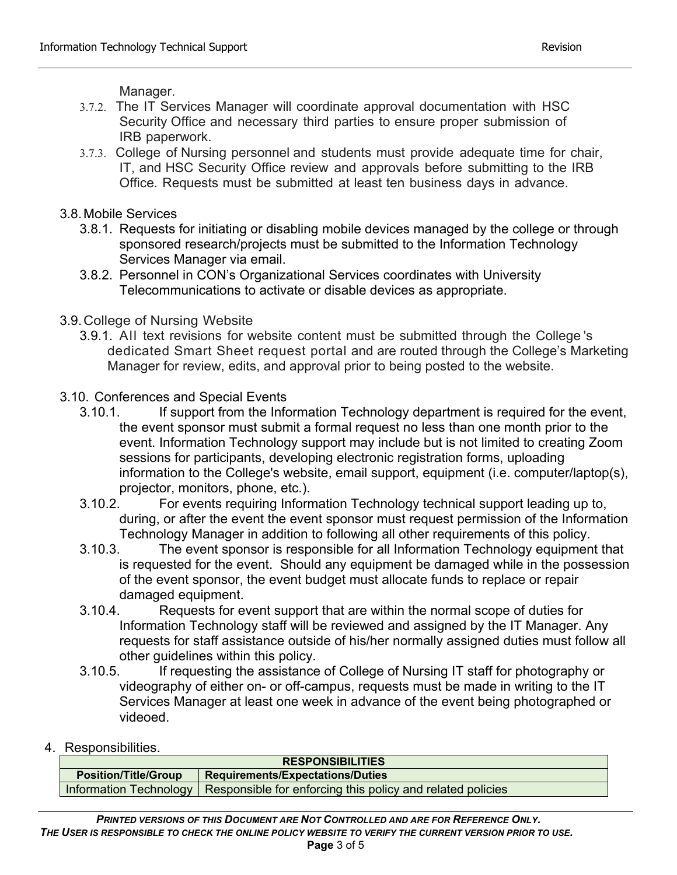Manager.

- 3.7.2. The IT Services Manager will coordinate approval documentation with HSC Security Office and necessary third parties to ensure proper submission of IRB paperwork.
- 3.7.3. College of Nursing personnel and students must provide adequate time for chair, IT, and HSC Security Office review and approvals before submitting to the IRB Office. Requests must be submitted at least ten business days in advance.
- 3.8.Mobile Services
	- 3.8.1. Requests for initiating or disabling mobile devices managed by the college or through sponsored research/projects must be submitted to the Information Technology Services Manager via email.
	- 3.8.2. Personnel in CON's Organizational Services coordinates with University Telecommunications to activate or disable devices as appropriate.
- 3.9.College of Nursing Website
	- 3.9.1. All text revisions for website content must be submitted through the College 's dedicated Smart Sheet request portal and are routed through the College's Marketing Manager for review, edits, and approval prior to being posted to the website.
- 3.10. Conferences and Special Events
	- 3.10.1. If support from the Information Technology department is required for the event, the event sponsor must submit a formal request no less than one month prior to the event. Information Technology support may include but is not limited to creating Zoom sessions for participants, developing electronic registration forms, uploading information to the College's website, email support, equipment (i.e. computer/laptop(s), projector, monitors, phone, etc.).
	- 3.10.2. For events requiring Information Technology technical support leading up to, during, or after the event the event sponsor must request permission of the Information Technology Manager in addition to following all other requirements of this policy.
	- 3.10.3. The event sponsor is responsible for all Information Technology equipment that is requested for the event. Should any equipment be damaged while in the possession of the event sponsor, the event budget must allocate funds to replace or repair damaged equipment.
	- 3.10.4. Requests for event support that are within the normal scope of duties for Information Technology staff will be reviewed and assigned by the IT Manager. Any requests for staff assistance outside of his/her normally assigned duties must follow all other guidelines within this policy.
	- 3.10.5. If requesting the assistance of College of Nursing IT staff for photography or videography of either on- or off-campus, requests must be made in writing to the IT Services Manager at least one week in advance of the event being photographed or videoed.
- 4. Responsibilities.

| <b>RESPONSIBILITIES</b>     |                                                                                     |  |  |
|-----------------------------|-------------------------------------------------------------------------------------|--|--|
| <b>Position/Title/Group</b> | Requirements/Expectations/Duties                                                    |  |  |
|                             | Information Technology   Responsible for enforcing this policy and related policies |  |  |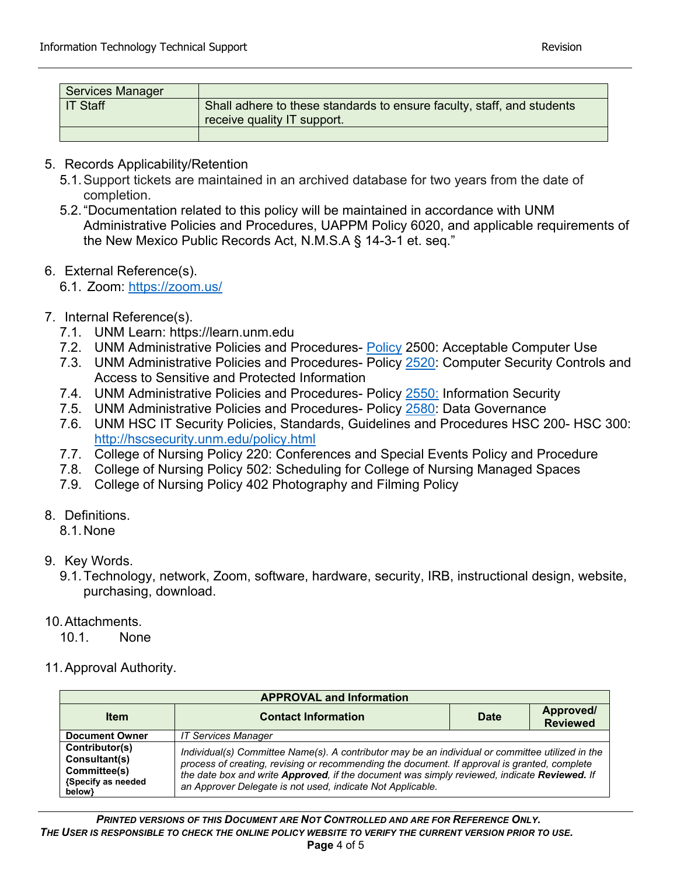| <b>Services Manager</b> |                                                                                                       |
|-------------------------|-------------------------------------------------------------------------------------------------------|
| <b>IT Staff</b>         | Shall adhere to these standards to ensure faculty, staff, and students<br>receive quality IT support. |
|                         |                                                                                                       |

- 5. Records Applicability/Retention
	- 5.1.Support tickets are maintained in an archived database for two years from the date of completion.
	- 5.2."Documentation related to this policy will be maintained in accordance with UNM Administrative Policies and Procedures, UAPPM Policy 6020, and applicable requirements of the New Mexico Public Records Act, N.M.S.A § 14-3-1 et. seq."
- 6. External Reference(s).
	- 6.1. Zoom:<https://zoom.us/>
- 7. Internal Reference(s).
	- 7.1. UNM Learn: https://learn.unm.edu
	- 7.2. UNM Administrative Policies and Procedures- [Policy](https://policy.unm.edu/university-policies/2000/2500.html) 2500: Acceptable Computer Use
	- 7.3. UNM Administrative Policies and Procedures- Policy [2520:](https://policy.unm.edu/university-policies/2000/2520.html) Computer Security Controls and Access to Sensitive and Protected Information
	- 7.4. UNM Administrative Policies and Procedures- Policy [2550:](https://policy.unm.edu/university-policies/2000/2550.html) Information Security
	- 7.5. UNM Administrative Policies and Procedures- Policy [2580:](https://policy.unm.edu/university-policies/2000/2580.html) Data Governance
	- 7.6. UNM HSC IT Security Policies, Standards, Guidelines and Procedures HSC 200- HSC 300: <http://hscsecurity.unm.edu/policy.html>
	- 7.7. College of Nursing Policy 220: Conferences and Special Events Policy and Procedure
	- 7.8. College of Nursing Policy 502: Scheduling for College of Nursing Managed Spaces
	- 7.9. College of Nursing Policy 402 Photography and Filming Policy
- 8. Definitions.
	- 8.1.None
- 9. Key Words.

9.1.Technology, network, Zoom, software, hardware, security, IRB, instructional design, website, purchasing, download.

10.Attachments.

10.1. None

11.Approval Authority.

| <b>APPROVAL and Information</b>                                                 |                                                                                                                                                                                                                                                                                                                                                               |      |                              |  |  |
|---------------------------------------------------------------------------------|---------------------------------------------------------------------------------------------------------------------------------------------------------------------------------------------------------------------------------------------------------------------------------------------------------------------------------------------------------------|------|------------------------------|--|--|
| <b>Item</b>                                                                     | <b>Contact Information</b>                                                                                                                                                                                                                                                                                                                                    | Date | Approved/<br><b>Reviewed</b> |  |  |
| <b>Document Owner</b>                                                           | <b>IT Services Manager</b>                                                                                                                                                                                                                                                                                                                                    |      |                              |  |  |
| Contributor(s)<br>Consultant(s)<br>Committee(s)<br>{Specify as needed<br>below} | Individual(s) Committee Name(s). A contributor may be an individual or committee utilized in the<br>process of creating, revising or recommending the document. If approval is granted, complete<br>the date box and write Approved, if the document was simply reviewed, indicate Reviewed. If<br>an Approver Delegate is not used, indicate Not Applicable. |      |                              |  |  |